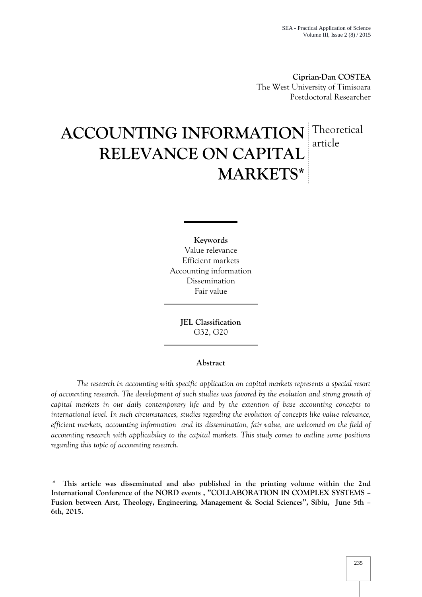**Ciprian-Dan COSTEA** The West University of Timisoara Postdoctoral Researcher

# **ACCOUNTING INFORMATION RELEVANCE ON CAPITAL MARKETS\*** Theoretical article

**Keywords** Value relevance Efficient markets Accounting information Dissemination Fair value

> **JEL Classification** G32, G20

## **Abstract**

*The research in accounting with specific application on capital markets represents a special resort of accounting research. The development of such studies was favored by the evolution and strong growth of capital markets in our daily contemporary life and by the extention of base accounting concepts to international level. In such circumstances, studies regarding the evolution of concepts like value relevance, efficient markets, accounting information and its dissemination, fair value, are welcomed on the field of accounting research with applicability to the capital markets. This study comes to outline some positions regarding this topic of accounting research.*

*\** **This article was disseminated and also published in the printing volume within the 2nd International Conference of the NORD events , "COLLABORATION IN COMPLEX SYSTEMS – Fusion between Arst, Theology, Engineering, Management & Social Sciences", Sibiu, June 5th – 6th, 2015.**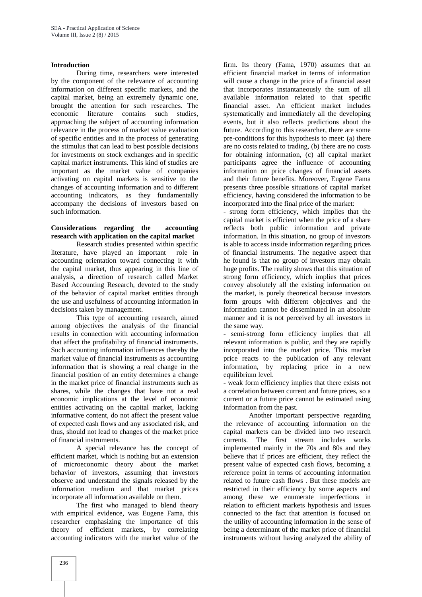#### **Introduction**

During time, researchers were interested by the component of the relevance of accounting information on different specific markets, and the capital market, being an extremely dynamic one, brought the attention for such researches. The economic literature contains such studies, approaching the subject of accounting information relevance in the process of market value evaluation of specific entities and in the process of generating the stimulus that can lead to best possible decisions for investments on stock exchanges and in specific capital market instruments. This kind of studies are important as the market value of companies activating on capital markets is sensitive to the changes of accounting information and to different accounting indicators, as they fundamentally accompany the decisions of investors based on such information.

## **Considerations regarding the accounting research with application on the capital market**

Research studies presented within specific literature, have played an important role in accounting orientation toward connecting it with the capital market, thus appearing in this line of analysis, a direction of research called Market Based Accounting Research, devoted to the study of the behavior of capital market entities through the use and usefulness of accounting information in decisions taken by management.

This type of accounting research, aimed among objectives the analysis of the financial results in connection with accounting information that affect the profitability of financial instruments. Such accounting information influences thereby the market value of financial instruments as accounting information that is showing a real change in the financial position of an entity determines a change in the market price of financial instruments such as shares, while the changes that have not a real economic implications at the level of economic entities activating on the capital market, lacking informative content, do not affect the present value of expected cash flows and any associated risk, and thus, should not lead to changes of the market price of financial instruments.

A special relevance has the concept of efficient market, which is nothing but an extension of microeconomic theory about the market behavior of investors, assuming that investors observe and understand the signals released by the information medium and that market prices incorporate all information available on them.

The first who managed to blend theory with empirical evidence, was Eugene Fama, this researcher emphasizing the importance of this theory of efficient markets, by correlating accounting indicators with the market value of the

firm. Its theory (Fama, 1970) assumes that an efficient financial market in terms of information will cause a change in the price of a financial asset that incorporates instantaneously the sum of all available information related to that specific financial asset. An efficient market includes systematically and immediately all the developing events, but it also reflects predictions about the future. According to this researcher, there are some pre-conditions for this hypothesis to meet: (a) there are no costs related to trading, (b) there are no costs for obtaining information, (c) all capital market participants agree the influence of accounting information on price changes of financial assets and their future benefits. Moreover, Eugene Fama presents three possible situations of capital market efficiency, having considered the information to be incorporated into the final price of the market:

- strong form efficiency, which implies that the capital market is efficient when the price of a share reflects both public information and private information. In this situation, no group of investors is able to access inside information regarding prices of financial instruments. The negative aspect that he found is that no group of investors may obtain huge profits. The reality shows that this situation of strong form efficiency, which implies that prices convey absolutely all the existing information on the market, is purely theoretical because investors form groups with different objectives and the information cannot be disseminated in an absolute manner and it is not perceived by all investors in the same way.

- semi-strong form efficiency implies that all relevant information is public, and they are rapidly incorporated into the market price. This market price reacts to the publication of any relevant information, by replacing price in a new equilibrium level.

- weak form efficiency implies that there exists not a correlation between current and future prices, so a current or a future price cannot be estimated using information from the past.

Another important perspective regarding the relevance of accounting information on the capital markets can be divided into two research currents. The first stream includes works implemented mainly in the 70s and 80s and they believe that if prices are efficient, they reflect the present value of expected cash flows, becoming a reference point in terms of accounting information related to future cash flows . But these models are restricted in their efficiency by some aspects and among these we enumerate imperfections in relation to efficient markets hypothesis and issues connected to the fact that attention is focused on the utility of accounting information in the sense of being a determinant of the market price of financial instruments without having analyzed the ability of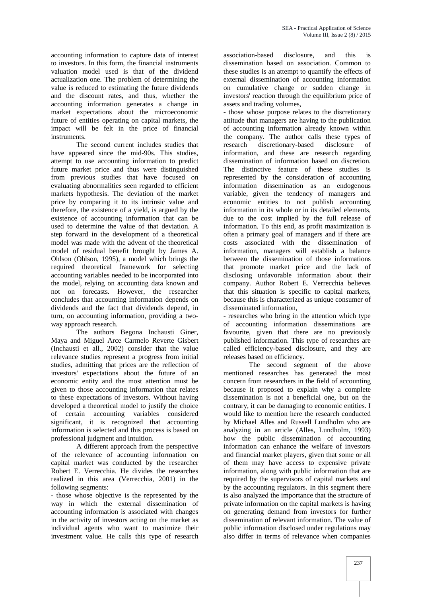accounting information to capture data of interest to investors. In this form, the financial instruments valuation model used is that of the dividend actualization one. The problem of determining the value is reduced to estimating the future dividends and the discount rates, and thus, whether the accounting information generates a change in market expectations about the microeconomic future of entities operating on capital markets, the impact will be felt in the price of financial instruments.

The second current includes studies that have appeared since the mid-90s. This studies, attempt to use accounting information to predict future market price and thus were distinguished from previous studies that have focused on evaluating abnormalities seen regarded to efficient markets hypothesis. The deviation of the market price by comparing it to its intrinsic value and therefore, the existence of a yield, is argued by the existence of accounting information that can be used to determine the value of that deviation. A step forward in the development of a theoretical model was made with the advent of the theoretical model of residual benefit brought by James A. Ohlson (Ohlson, 1995), a model which brings the required theoretical framework for selecting accounting variables needed to be incorporated into the model, relying on accounting data known and not on forecasts. However, the researcher concludes that accounting information depends on dividends and the fact that dividends depend, in turn, on accounting information, providing a two way approach research.

The authors Begona Inchausti Giner, Maya and Miguel Arce Carmelo Reverte Gisbert (Inchausti et all., 2002) consider that the value relevance studies represent a progress from initial studies, admitting that prices are the reflection of investors' expectations about the future of an economic entity and the most attention must be given to those accounting information that relates to these expectations of investors. Without having developed a theoretical model to justify the choice of certain accounting variables considered significant, it is recognized that accounting information is selected and this process is based on professional judgment and intuition.

A different approach from the perspective of the relevance of accounting information on capital market was conducted by the researcher Robert E. Verrecchia. He divides the researches realized in this area (Verrecchia, 2001) in the following segments:

- those whose objective is the represented by the way in which the external dissemination of accounting information is associated with changes in the activity of investors acting on the market as individual agents who want to maximize their investment value. He calls this type of research

association-based disclosure, and this is dissemination based on association. Common to these studies is an attempt to quantify the effects of external dissemination of accounting information on cumulative change or sudden change in investors' reaction through the equilibrium price of assets and trading volumes,

- those whose purpose relates to the discretionary attitude that managers are having to the publication of accounting information already known within the company. The author calls these types of research discretionary-based disclosure of information, and these are research regarding dissemination of information based on discretion. The distinctive feature of these studies is represented by the consideration of accounting information dissemination as an endogenous variable, given the tendency of managers and economic entities to not publish accounting information in its whole or in its detailed elements, due to the cost implied by the full release of information. To this end, as profit maximization is often a primary goal of managers and if there are costs associated with the dissemination of information, managers will establish a balance between the dissemination of those informations that promote market price and the lack of disclosing unfavorable information about their company. Author Robert E. Verrecchia believes that this situation is specific to capital markets, because this is characterized as unique consumer of disseminated information,

- researches who bring in the attention which type of accounting information disseminations are favourite, given that there are no previously published information. This type of researches are called efficiency-based disclosure, and they are releases based on efficiency.

The second segment of the above mentioned researches has generated the most concern from researchers in the field of accounting because it proposed to explain why a complete dissemination is not a beneficial one, but on the contrary, it can be damaging to economic entities. I would like to mention here the research conducted by Michael Alles and Russell Lundholm who are analyzing in an article (Alles, Lundholm, 1993) how the public dissemination of accounting information can enhance the welfare of investors and financial market players, given that some or all of them may have access to expensive private information, along with public information that are required by the supervisors of capital markets and by the accounting regulators. In this segment there is also analyzed the importance that the structure of private information on the capital markets is having on generating demand from investors for further dissemination of relevant information. The value of public information disclosed under regulations may also differ in terms of relevance when companies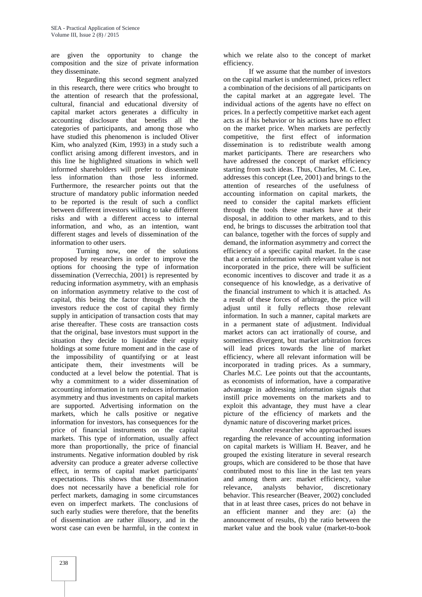are given the opportunity to change the composition and the size of private information they disseminate.

Regarding this second segment analyzed in this research, there were critics who brought to the attention of research that the professional, cultural, financial and educational diversity of capital market actors generates a difficulty in accounting disclosure that benefits all the categories of participants, and among those who have studied this phenomenon is included Oliver Kim, who analyzed (Kim, 1993) in a study such a conflict arising among different investors, and in this line he highlighted situations in which well informed shareholders will prefer to disseminate less information than those less informed. Furthermore, the researcher points out that the structure of mandatory public information needed to be reported is the result of such a conflict between different investors willing to take different risks and with a different access to internal information, and who, as an intention, want different stages and levels of dissemination of the information to other users.

Turning now, one of the solutions proposed by researchers in order to improve the options for choosing the type of information dissemination (Verrecchia, 2001) is represented by reducing information asymmetry, with an emphasis on information asymmetry relative to the cost of capital, this being the factor through which the investors reduce the cost of capital they firmly supply in anticipation of transaction costs that may arise thereafter. These costs are transaction costs that the original, base investors must support in the situation they decide to liquidate their equity holdings at some future moment and in the case of the impossibility of quantifying or at least anticipate them, their investments will be conducted at a level below the potential. That is why a commitment to a wider dissemination of accounting information in turn reduces information asymmetry and thus investments on capital markets are supported. Advertising information on the markets, which he calls positive or negative information for investors, has consequences for the price of financial instruments on the capital markets. This type of information, usually affect more than proportionally, the price of financial instruments. Negative information doubled by risk adversity can produce a greater adverse collective effect, in terms of capital market participants' expectations. This shows that the dissemination does not necessarily have a beneficial role for perfect markets, damaging in some circumstances even on imperfect markets. The conclusions of such early studies were therefore, that the benefits of dissemination are rather illusory, and in the worst case can even be harmful, in the context in

which we relate also to the concept of market efficiency.

If we assume that the number of investors on the capital market is undetermined, prices reflect a combination of the decisions of all participants on the capital market at an aggregate level. The individual actions of the agents have no effect on prices. In a perfectly competitive market each agent acts as if his behavior or his actions have no effect on the market price. When markets are perfectly competitive, the first effect of information dissemination is to redistribute wealth among market participants. There are researchers who have addressed the concept of market efficiency starting from such ideas. Thus, Charles, M. C. Lee, addresses this concept (Lee, 2001) and brings to the attention of researches of the usefulness of accounting information on capital markets, the need to consider the capital markets efficient through the tools these markets have at their disposal, in addition to other markets, and to this end, he brings to discusses the arbitration tool that can balance, together with the forces of supply and demand, the information asymmetry and correct the efficiency of a specific capital market. In the case that a certain information with relevant value is not incorporated in the price, there will be sufficient economic incentives to discover and trade it as a consequence of his knowledge, as a derivative of the financial instrument to which it is attached. As a result of these forces of arbitrage, the price will adjust until it fully reflects those relevant information. In such a manner, capital markets are in a permanent state of adjustment. Individual market actors can act irrationally of course, and sometimes divergent, but market arbitration forces will lead prices towards the line of market efficiency, where all relevant information will be incorporated in trading prices. As a summary, Charles M.C. Lee points out that the accountants, as economists of information, have a comparative advantage in addressing information signals that instill price movements on the markets and to exploit this advantage, they must have a clear picture of the efficiency of markets and the dynamic nature of discovering market prices.

Another researcher who approached issues regarding the relevance of accounting information on capital markets is William H. Beaver, and he grouped the existing literature in several research groups, which are considered to be those that have contributed most to this line in the last ten years and among them are: market efficiency, value relevance, analysts behavior, discretionary behavior. This researcher (Beaver, 2002) concluded that in at least three cases, prices do not behave in an efficient manner and they are: (a) the announcement of results, (b) the ratio between the market value and the book value (market-to-book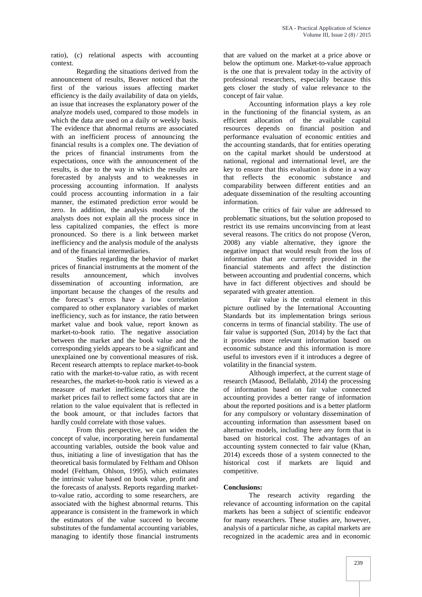ratio), (c) relational aspects with accounting context.

Regarding the situations derived from the announcement of results, Beaver noticed that the first of the various issues affecting market efficiency is the daily availability of data on yields, an issue that increases the explanatory power of the analyze models used, compared to those models in which the data are used on a daily or weekly basis. The evidence that abnormal returns are associated with an inefficient process of announcing the financial results is a complex one. The deviation of the prices of financial instruments from the expectations, once with the announcement of the results, is due to the way in which the results are forecasted by analysts and to weaknesses in processing accounting information. If analysts could process accounting information in a fair manner, the estimated prediction error would be zero. In addition, the analysis module of the analysts does not explain all the process since in less capitalized companies, the effect is more pronounced. So there is a link between market inefficiency and the analysis module of the analysts and of the financial intermediaries.

Studies regarding the behavior of market prices of financial instruments at the moment of the results announcement, which involves dissemination of accounting information, are important because the changes of the results and the forecast's errors have a low correlation compared to other explanatory variables of market inefficiency, such as for instance, the ratio between market value and book value, report known as market-to-book ratio. The negative association between the market and the book value and the corresponding yields appears to be a significant and unexplained one by conventional measures of risk. Recent research attempts to replace market-to-book ratio with the market-to-value ratio, as with recent researches, the market-to-book ratio is viewed as a measure of market inefficiency and since the market prices fail to reflect some factors that are in relation to the value equivalent that is reflected in the book amount, or that includes factors that hardly could correlate with those values.

From this perspective, we can widen the concept of value, incorporating herein fundamental accounting variables, outside the book value and thus, initiating a line of investigation that has the theoretical basis formulated by Feltham and Ohlson model (Feltham, Ohlson, 1995), which estimates the intrinsic value based on book value, profit and the forecasts of analysts. Reports regarding marketto-value ratio, according to some researchers, are associated with the highest abnormal returns. This appearance is consistent in the framework in which the estimators of the value succeed to become substitutes of the fundamental accounting variables, managing to identify those financial instruments

that are valued on the market at a price above or below the optimum one. Market-to-value approach is the one that is prevalent today in the activity of professional researchers, especially because this gets closer the study of value relevance to the concept of fair value.

Accounting information plays a key role in the functioning of the financial system, as an efficient allocation of the available capital resources depends on financial position and performance evaluation of economic entities and the accounting standards, that for entities operating on the capital market should be understood at national, regional and international level, are the key to ensure that this evaluation is done in a way that reflects the economic substance and comparability between different entities and an adequate dissemination of the resulting accounting information.

The critics of fair value are addressed to problematic situations, but the solution proposed to restrict its use remains unconvincing from at least several reasons. The critics do not propose (Veron, 2008) any viable alternative, they ignore the negative impact that would result from the loss of information that are currently provided in the financial statements and affect the distinction between accounting and prudential concerns, which have in fact different objectives and should be separated with greater attention.

Fair value is the central element in this picture outlined by the International Accounting Standards but its implementation brings serious concerns in terms of financial stability. The use of fair value is supported (Sun, 2014) by the fact that it provides more relevant information based on economic substance and this information is more useful to investors even if it introduces a degree of volatility in the financial system.

Although imperfect, at the current stage of research (Masood, Bellalahb, 2014) the processing of information based on fair value connected accounting provides a better range of information about the reported positions and is a better platform for any compulsory or voluntary dissemination of accounting information than assessment based on alternative models, including here any form that is based on historical cost. The advantages of an accounting system connected to fair value (Khan, 2014) exceeds those of a system connected to the historical cost if markets are liquid and competitive.

## **Conclusions:**

The research activity regarding the relevance of accounting information on the capital markets has been a subject of scientific endeavor for many researchers. These studies are, however, analysis of a particular niche, as capital markets are recognized in the academic area and in economic